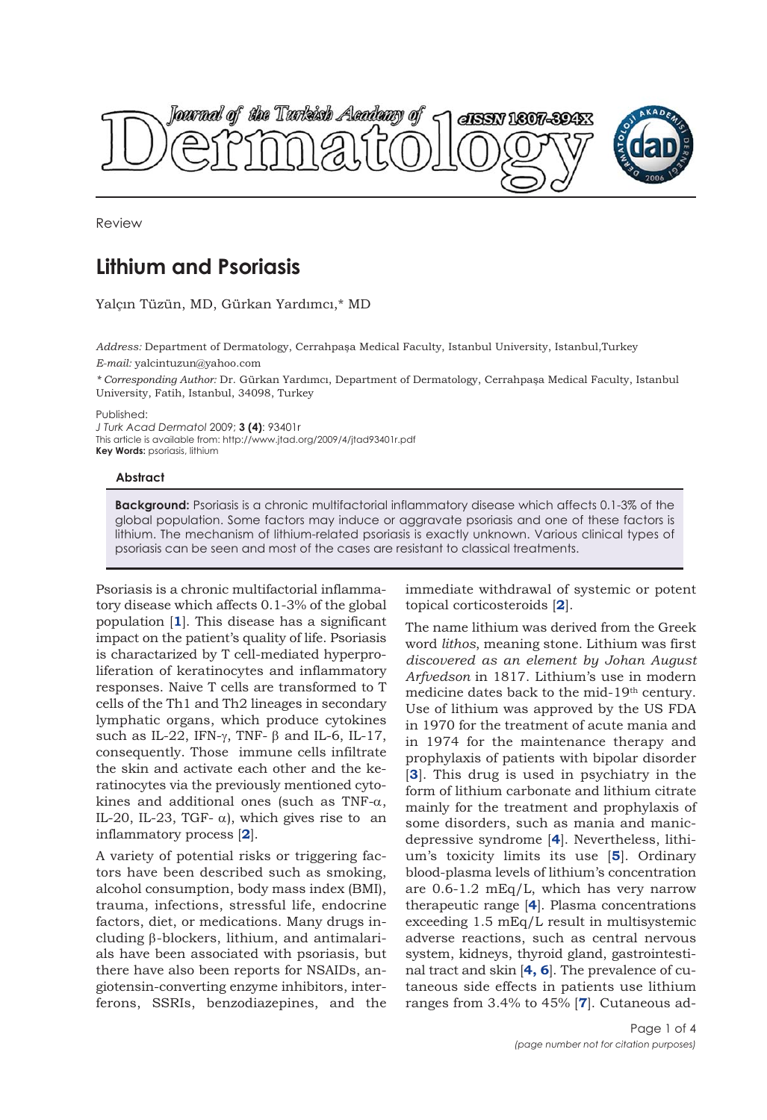

Review

## **Lithium and Psoriasis**

Yalçın Tüzün, MD, Gürkan Yardımcı,\* MD

*Address:* Department of Dermatology, Cerrahpaşa Medical Faculty, Istanbul University, Istanbul,Turkey *E-mail:* yalcintuzun@yahoo.com

*\* Corresponding Author:* Dr. Gürkan Yardımcı, Department of Dermatology, Cerrahpaşa Medical Faculty, Istanbul University, Fatih, Istanbul, 34098, Turkey

Published:

*J Turk Acad Dermatol* 2009; **3 (4)**: 93401r This article is available from: http://www.jtad.org/2009/4/jtad93401r.pdf **Key Words: psoriasis, lithium** 

## **Abstract**

**Background:** Psoriasis is a chronic multifactorial inflammatory disease which affects 0.1-3% of the global population. Some factors may induce or aggravate psoriasis and one of these factors is lithium. The mechanism of lithium-related psoriasis is exactly unknown. Various clinical types of psoriasis can be seen and most of the cases are resistant to classical treatments.

Psoriasis is a chronic multifactorial inflammatory disease which affects 0.1-3% of the global population [**1**]. This disease has a significant impact on the patient's quality of life. Psoriasis is charactarized by T cell-mediated hyperproliferation of keratinocytes and inflammatory responses. Naive T cells are transformed to T cells of the Th1 and Th2 lineages in secondary lymphatic organs, which produce cytokines such as IL-22, IFN- $\gamma$ , TNF-  $\beta$  and IL-6, IL-17, consequently. Those immune cells infiltrate the skin and activate each other and the keratinocytes via the previously mentioned cytokines and additional ones (such as TNF- $\alpha$ , IL-20, IL-23, TGF- $\alpha$ ), which gives rise to an inflammatory process [**2**].

A variety of potential risks or triggering factors have been described such as smoking, alcohol consumption, body mass index (BMI), trauma, infections, stressful life, endocrine factors, diet, or medications. Many drugs including β-blockers, lithium, and antimalarials have been associated with psoriasis, but there have also been reports for NSAIDs, angiotensin-converting enzyme inhibitors, interferons, SSRIs, benzodiazepines, and the immediate withdrawal of systemic or potent topical corticosteroids [**2**].

The name lithium was derived from the Greek word *lithos*, meaning stone. Lithium was first *discovered as an element by Johan August Arfvedson* in 1817. Lithium's use in modern medicine dates back to the mid-19<sup>th</sup> century. Use of lithium was approved by the US FDA in 1970 for the treatment of acute mania and in 1974 for the maintenance therapy and prophylaxis of patients with bipolar disorder [**3**]. This drug is used in psychiatry in the form of lithium carbonate and lithium citrate mainly for the treatment and prophylaxis of some disorders, such as mania and manicdepressive syndrome [**4**]. Nevertheless, lithium's toxicity limits its use [**5**]. Ordinary blood-plasma levels of lithium's concentration are 0.6-1.2 mEq/L, which has very narrow therapeutic range [**4**]. Plasma concentrations exceeding 1.5 mEq/L result in multisystemic adverse reactions, such as central nervous system, kidneys, thyroid gland, gastrointestinal tract and skin [**4, 6**]. The prevalence of cutaneous side effects in patients use lithium ranges from 3.4% to 45% [**7**]. Cutaneous ad-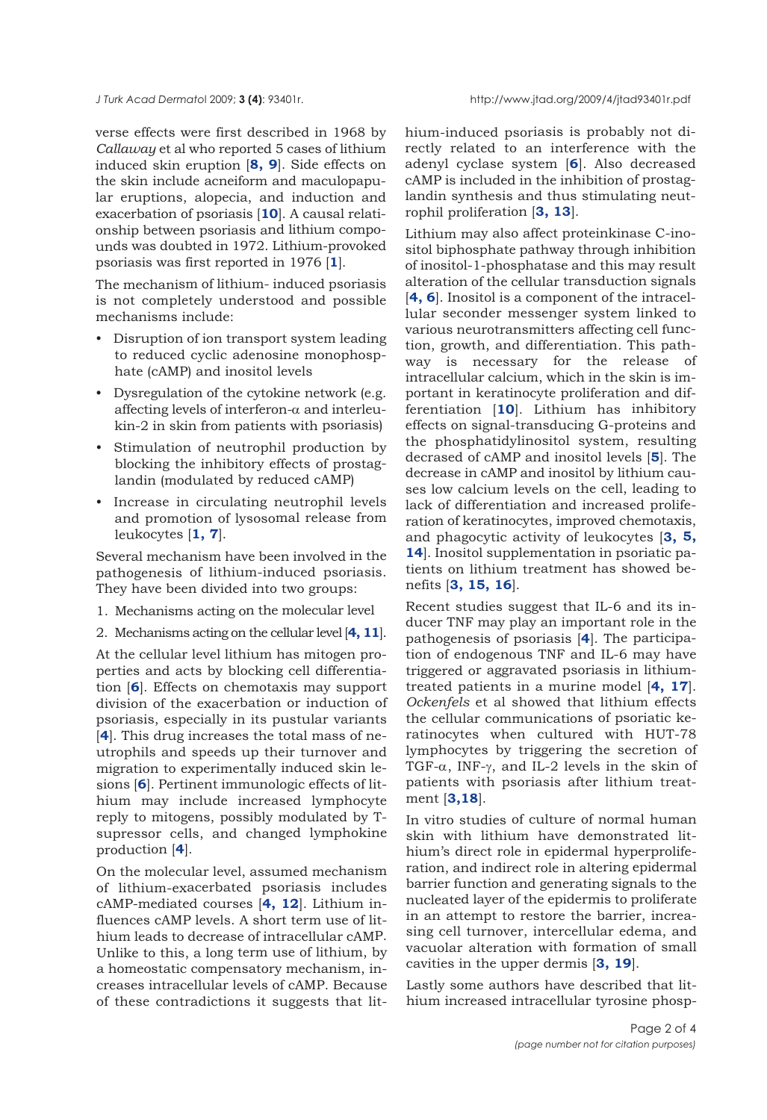verse effects were first described in 1968 by *Callaway* et al who reported 5 cases of lithium induced skin eruption [**8, 9**]. Side effects on the skin include acneiform and maculopapular eruptions, alopecia, and induction and exacerbation of psoriasis [**10**]. A causal relationship between psoriasis and lithium compounds was doubted in 1972. Lithium-provoked psoriasis was first reported in 1976 [**1**].

The mechanism of lithium- induced psoriasis is not completely understood and possible mechanisms include:

- Disruption of ion transport system leading to reduced cyclic adenosine monophosphate (cAMP) and inositol levels
- Dysregulation of the cytokine network (e.g. affecting levels of interferon-<sup>α</sup> and interleukin-2 in skin from patients with psoriasis)
- Stimulation of neutrophil production by blocking the inhibitory effects of prostaglandin (modulated by reduced cAMP)
- Increase in circulating neutrophil levels and promotion of lysosomal release from leukocytes [**1, 7**].

Several mechanism have been involved in the pathogenesis of lithium-induced psoriasis. They have been divided into two groups:

- 1. Mechanisms acting on the molecular level
- 2. Mechanisms acting on the cellular level [**4, 11**].

At the cellular level lithium has mitogen properties and acts by blocking cell differentiation [**6**]. Effects on chemotaxis may support division of the exacerbation or induction of psoriasis, especially in its pustular variants [**4**]. This drug increases the total mass of neutrophils and speeds up their turnover and migration to experimentally induced skin lesions [**6**]. Pertinent immunologic effects of lithium may include increased lymphocyte reply to mitogens, possibly modulated by Tsupressor cells, and changed lymphokine production [**4**].

On the molecular level, assumed mechanism of lithium-exacerbated psoriasis includes cAMP-mediated courses [**4, 12**]. Lithium influences cAMP levels. A short term use of lithium leads to decrease of intracellular cAMP. Unlike to this, a long term use of lithium, by a homeostatic compensatory mechanism, increases intracellular levels of cAMP. Because of these contradictions it suggests that lithium-induced psoriasis is probably not directly related to an interference with the adenyl cyclase system [**6**]. Also decreased cAMP is included in the inhibition of prostaglandin synthesis and thus stimulating neutrophil proliferation [**3, 13**].

Lithium may also affect proteinkinase C-inositol biphosphate pathway through inhibition of inositol-1-phosphatase and this may result alteration of the cellular transduction signals [**4, 6**]. Inositol is a component of the intracellular seconder messenger system linked to various neurotransmitters affecting cell function, growth, and differentiation. This pathway is necessary for the release of intracellular calcium, which in the skin is important in keratinocyte proliferation and differentiation [**10**]. Lithium has inhibitory effects on signal-transducing G-proteins and the phosphatidylinositol system, resulting decrased of cAMP and inositol levels [**5**]. The decrease in cAMP and inositol by lithium causes low calcium levels on the cell, leading to lack of differentiation and increased proliferation of keratinocytes, improved chemotaxis, and phagocytic activity of leukocytes [**3, 5, 14**]. Inositol supplementation in psoriatic patients on lithium treatment has showed benefits [**3, 15, 16**].

Recent studies suggest that IL-6 and its inducer TNF may play an important role in the pathogenesis of psoriasis [**4**]. The participation of endogenous TNF and IL-6 may have triggered or aggravated psoriasis in lithiumtreated patients in a murine model [**4, 17**]. *Ockenfels* et al showed that lithium effects the cellular communications of psoriatic keratinocytes when cultured with HUT-78 lymphocytes by triggering the secretion of TGF-<sup>α</sup>, INF-γ, and IL-2 levels in the skin of patients with psoriasis after lithium treatment [**3,18**].

In vitro studies of culture of normal human skin with lithium have demonstrated lithium's direct role in epidermal hyperproliferation, and indirect role in altering epidermal barrier function and generating signals to the nucleated layer of the epidermis to proliferate in an attempt to restore the barrier, increasing cell turnover, intercellular edema, and vacuolar alteration with formation of small cavities in the upper dermis [**3, 19**].

Lastly some authors have described that lithium increased intracellular tyrosine phosp-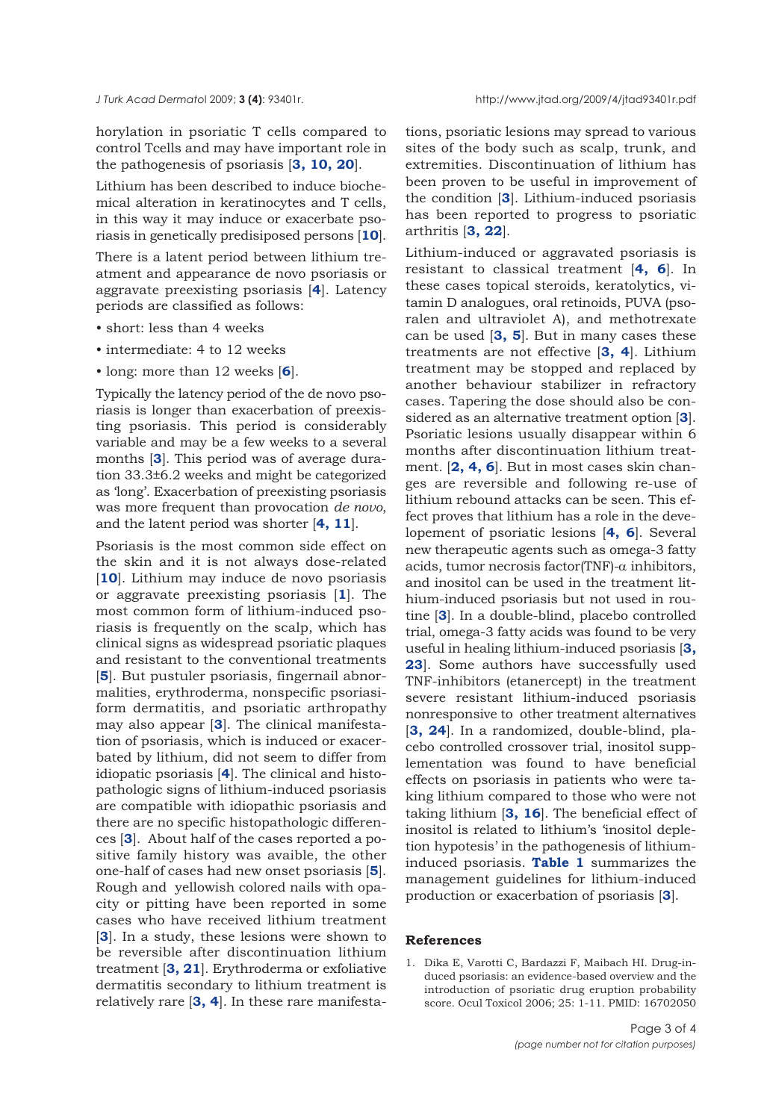horylation in psoriatic T cells compared to control Tcells and may have important role in the pathogenesis of psoriasis [**3, 10, 20**].

Lithium has been described to induce biochemical alteration in keratinocytes and T cells, in this way it may induce or exacerbate psoriasis in genetically predisiposed persons [**10**].

There is a latent period between lithium treatment and appearance de novo psoriasis or aggravate preexisting psoriasis [**4**]. Latency periods are classified as follows:

- short: less than 4 weeks
- intermediate: 4 to 12 weeks
- long: more than 12 weeks [**6**].

Typically the latency period of the de novo psoriasis is longer than exacerbation of preexisting psoriasis. This period is considerably variable and may be a few weeks to a several months [**3**]. This period was of average duration 33.3±6.2 weeks and might be categorized as 'long'. Exacerbation of preexisting psoriasis was more frequent than provocation *de novo*, and the latent period was shorter [**4, 11**].

Psoriasis is the most common side effect on the skin and it is not always dose-related [10]. Lithium may induce de novo psoriasis or aggravate preexisting psoriasis [**1**]. The most common form of lithium-induced psoriasis is frequently on the scalp, which has clinical signs as widespread psoriatic plaques and resistant to the conventional treatments [**5**]. But pustuler psoriasis, fingernail abnormalities, erythroderma, nonspecific psoriasiform dermatitis, and psoriatic arthropathy may also appear [**3**]. The clinical manifestation of psoriasis, which is induced or exacerbated by lithium, did not seem to differ from idiopatic psoriasis [**4**]. The clinical and histopathologic signs of lithium-induced psoriasis are compatible with idiopathic psoriasis and there are no specific histopathologic differences [**3**]. About half of the cases reported a positive family history was avaible, the other one-half of cases had new onset psoriasis [**5**]. Rough and yellowish colored nails with opacity or pitting have been reported in some cases who have received lithium treatment [**3**]. In a study, these lesions were shown to be reversible after discontinuation lithium treatment [**3, 21**]. Erythroderma or exfoliative dermatitis secondary to lithium treatment is relatively rare [**3, 4**]. In these rare manifesta-

*J Turk Acad Dermato*l 2009; **3 (4)**: 93401r. http://www.jtad.org/2009/4/jtad93401r.pdf

tions, psoriatic lesions may spread to various sites of the body such as scalp, trunk, and extremities. Discontinuation of lithium has been proven to be useful in improvement of the condition [**3**]. Lithium-induced psoriasis has been reported to progress to psoriatic arthritis [**3, 22**].

Lithium-induced or aggravated psoriasis is resistant to classical treatment [**4, 6**]. In these cases topical steroids, keratolytics, vitamin D analogues, oral retinoids, PUVA (psoralen and ultraviolet A), and methotrexate can be used [**3, 5**]. But in many cases these treatments are not effective [**3, 4**]. Lithium treatment may be stopped and replaced by another behaviour stabilizer in refractory cases. Tapering the dose should also be considered as an alternative treatment option [**3**]. Psoriatic lesions usually disappear within 6 months after discontinuation lithium treatment. [**2, 4, 6**]. But in most cases skin changes are reversible and following re-use of lithium rebound attacks can be seen. This effect proves that lithium has a role in the developement of psoriatic lesions [**4, 6**]. Several new therapeutic agents such as omega-3 fatty acids, tumor necrosis factor(TNF)-α inhibitors, and inositol can be used in the treatment lithium-induced psoriasis but not used in routine [**3**]. In a double-blind, placebo controlled trial, omega-3 fatty acids was found to be very useful in healing lithium-induced psoriasis [**3, 23**]. Some authors have successfully used TNF-inhibitors (etanercept) in the treatment severe resistant lithium-induced psoriasis nonresponsive to other treatment alternatives [**3, 24**]. In a randomized, double-blind, placebo controlled crossover trial, inositol supplementation was found to have beneficial effects on psoriasis in patients who were taking lithium compared to those who were not taking lithium [**3, 16**]. The beneficial effect of inositol is related to lithium's 'inositol depletion hypotesis' in the pathogenesis of lithiuminduced psoriasis. **Table 1** summarizes the management guidelines for lithium-induced production or exacerbation of psoriasis [**3**].

## **References**

1. Dika E, Varotti C, Bardazzi F, Maibach HI. Drug-induced psoriasis: an evidence-based overview and the introduction of psoriatic drug eruption probability score. Ocul Toxicol 2006; 25: 1-11. PMID: 16702050